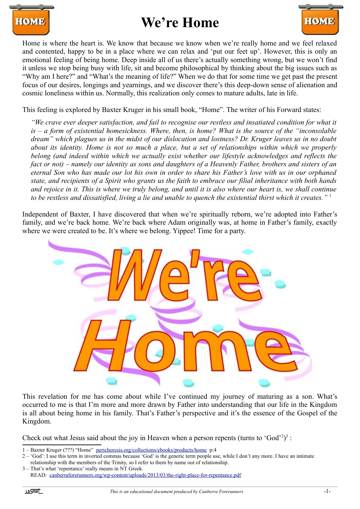## **We're Home**





Home is where the heart is. We know that because we know when we're really home and we feel relaxed and contented, happy to be in a place where we can relax and 'put our feet up'. However, this is only an emotional feeling of being home. Deep inside all of us there's actually something wrong, but we won't find it unless we stop being busy with life, sit and become philosophical by thinking about the big issues such as "Why am I here?" and "What's the meaning of life?" When we do that for some time we get past the present focus of our desires, longings and yearnings, and we discover there's this deep-down sense of alienation and cosmic loneliness within us. Normally, this realization only comes to mature adults, late in life.

This feeling is explored by Baxter Kruger in his small book, "Home". The writer of his Forward states:

*"We crave ever deeper satisfaction, and fail to recognise our restless and insatiated condition for what it is – a form of existential homesickness. Where, then, is home? What is the source of the "inconsolable dream" which plagues us in the midst of our dislocation and lostness? Dr. Kruger leaves us in no doubt about its identity. Home is not so much a place, but a set of relationships within which we properly belong (and indeed within which we actually exist whether our lifestyle acknowledges and reflects the fact or not) – namely our identity as sons and daughters of a Heavenly Father, brothers and sisters of an eternal Son who has made our lot his own in order to share his Father's love with us in our orphaned state, and recipients of a Spirit who grants us the faith to embrace our filial inheritance with both hands and rejoice in it. This is where we truly belong, and until it is also where our heart is, we shall continue to be restless and dissatisfied, living a lie and unable to quench the existential thirst which it creates."* [1](#page-0-0)

Independent of Baxter, I have discovered that when we're spiritually reborn, we're adopted into Father's family, and we're back home. We're back where Adam originally was, at home in Father's family, exactly where we were created to be. It's where we belong. Yippee! Time for a party.



This revelation for me has come about while I've continued my journey of maturing as a son. What's occurred to me is that I'm more and more drawn by Father into understanding that our life in the Kingdom is all about being home in his family. That's Father's perspective and it's the essence of the Gospel of the Kingdom.

Check out what Jesus said about the joy in Heaven when a person repents (turns to 'God'<sup>[2](#page-0-1)</sup>)<sup>[3](#page-0-2)</sup>:

<span id="page-0-0"></span><sup>1 –</sup> Baxter Kruger (???) "Home" [perichoresis.org/collections/ebooks/products/home](https://perichoresis.org/collections/ebooks/products/home) p:4

<span id="page-0-1"></span><sup>2 – &#</sup>x27;God': I use this term in inverted commas because 'God' is the generic term people use, while I don't any more. I have an intimate relationship with the members of the Trinity, so I refer to them by name out of relationship.

<span id="page-0-2"></span><sup>3 –</sup> That's what 'repentance' really means in NT Greek. READ: [canberraforerunners.org/wp-content/uploads/2013/03/the-right-place-for-repentance.pdf](https://canberraforerunners.org/wp-content/uploads/2013/03/the-right-place-for-repentance.pdf)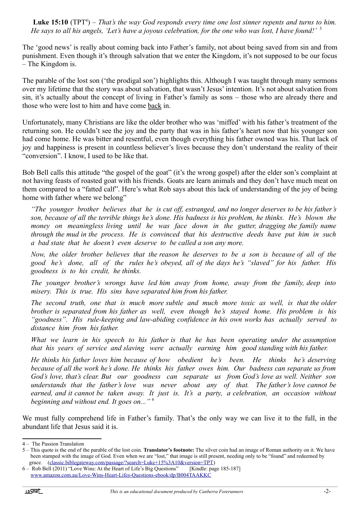## Luke 15:10 (TPT<sup>[4](#page-1-0)</sup>) – *That's the way God responds every time one lost sinner repents and turns to him. He says to all his angels, 'Let's have a joyous celebration, for the one who was lost, I have found!'* [5](#page-1-1)

The 'good news' is really about coming back into Father's family, not about being saved from sin and from punishment. Even though it's through salvation that we enter the Kingdom, it's not supposed to be our focus – The Kingdom is.

The parable of the lost son ('the prodigal son') highlights this. Although I was taught through many sermons over my lifetime that the story was about salvation, that wasn't Jesus' intention. It's not about salvation from sin, it's actually about the concept of living in Father's family as sons – those who are already there and those who were lost to him and have come back in.

Unfortunately, many Christians are like the older brother who was 'miffed' with his father's treatment of the returning son. He couldn't see the joy and the party that was in his father's heart now that his younger son had come home. He was bitter and resentful, even though everything his father owned was his. That lack of joy and happiness is present in countless believer's lives because they don't understand the reality of their "conversion". I know, I used to be like that.

Bob Bell calls this attitude "the gospel of the goat" (it's the wrong gospel) after the elder son's complaint at not having feasts of roasted goat with his friends. Goats are learn animals and they don't have much meat on them compared to a "fatted calf". Here's what Rob says about this lack of understanding of the joy of being home with father where we belong"

*"The younger brother believes that he is cut off, estranged, and no longer deserves to be his father's son, because of all the terrible things he's done. His badness is his problem, he thinks. He's blown the money on meaningless living until he was face down in the gutter, dragging the family name through the mud in the process. He is convinced that his destructive deeds have put him in such a bad state that he doesn't even deserve to be called a son any more.*

*Now, the older brother believes that the reason he deserves to be a son is because of all of the good he's done, all of the rules he's obeyed, all of the days he's "slaved" for his father. His goodness is to his credit, he thinks.*

*The younger brother's wrongs have led him away from home, away from the family, deep into misery. This is true. His sins have separated him from his father.*

*The second truth, one that is much more subtle and much more toxic as well, is that the older brother is separated from his father as well, even though he's stayed home. His problem is his "goodness". His rule-keeping and law-abiding confidence in his own works has actually served to distance him from his father.*

*What we learn in his speech to his father is that he has been operating under the assumption that his years of service and slaving were actually earning him good standing with his father.*

*He thinks his father loves him because of how obedient he's been. He thinks he's deserving because of all the work he's done. He thinks his father owes him. Our badness can separate us from God's love, that's clear. But our goodness can separate us from God's love as well. Neither son understands that the father's love was never about any of that. The father's love cannot be earned, and it cannot be taken away. It just is. It's a party, a celebration, an occasion without beginning and without end. It goes on..."* [6](#page-1-2)

We must fully comprehend life in Father's family. That's the only way we can live it to the full, in the abundant life that Jesus said it is.

<span id="page-1-0"></span><sup>4 –</sup> The Passion Translation

<span id="page-1-1"></span><sup>5 –</sup> This quote is the end of the parable of the lost coin. **Translator's footnote:** The silver coin had an image of Roman authority on it. We have been stamped with the image of God. Even when we are "lost," that image is still present, needing only to be "found" and redeemed by grace. ([classic.biblegateway.com/passage/?search=Luke+15%3A10&version=TPT](https://classic.biblegateway.com/passage/?search=Luke+15%3A10&version=TPT))

<span id="page-1-2"></span><sup>6 –</sup> Rob Bell (2011) "Love Wins: At the Heart of Life's Big Questions" [Kindle: page 185-187] [www.amazon.com.au/Love-Wins-Heart-Lifes-Questions-ebook/dp/B004TAAKKC](https://www.amazon.com.au/Love-Wins-Heart-Lifes-Questions-ebook/dp/B004TAAKKC)